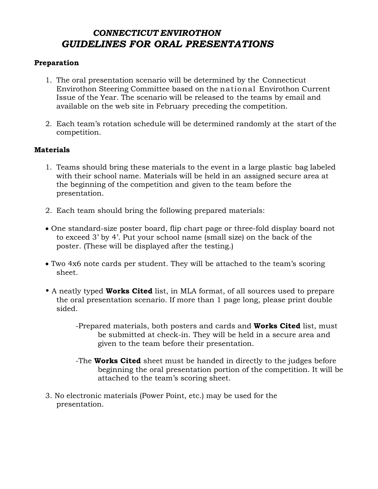# *CONNECTICUT ENVIROTHON GUIDELINES FOR ORAL PRESENTATIONS*

#### **Preparation**

- 1. The oral presentation scenario will be determined by the Connecticut Envirothon Steering Committee based on the national Envirothon Current Issue of the Year. The scenario will be released to the teams by email and available on the web site in February preceding the competition.
- 2. Each team's rotation schedule will be determined randomly at the start of the competition.

### **Materials**

- 1. Teams should bring these materials to the event in a large plastic bag labeled with their school name. Materials will be held in an assigned secure area at the beginning of the competition and given to the team before the presentation.
- 2. Each team should bring the following prepared materials:
- One standard-size poster board, flip chart page or three-fold display board not to exceed 3' by 4'. Put your school name (small size) on the back of the poster. (These will be displayed after the testing.)
- Two 4x6 note cards per student. They will be attached to the team's scoring sheet.
- A neatly typed **Works Cited** list, in MLA format, of all sources used to prepare the oral presentation scenario. If more than 1 page long, please print double sided.
	- -Prepared materials, both posters and cards and **Works Cited** list, must be submitted at check-in. They will be held in a secure area and given to the team before their presentation.
	- -The **Works Cited** sheet must be handed in directly to the judges before beginning the oral presentation portion of the competition. It will be attached to the team's scoring sheet.
- 3. No electronic materials (Power Point, etc.) may be used for the presentation.